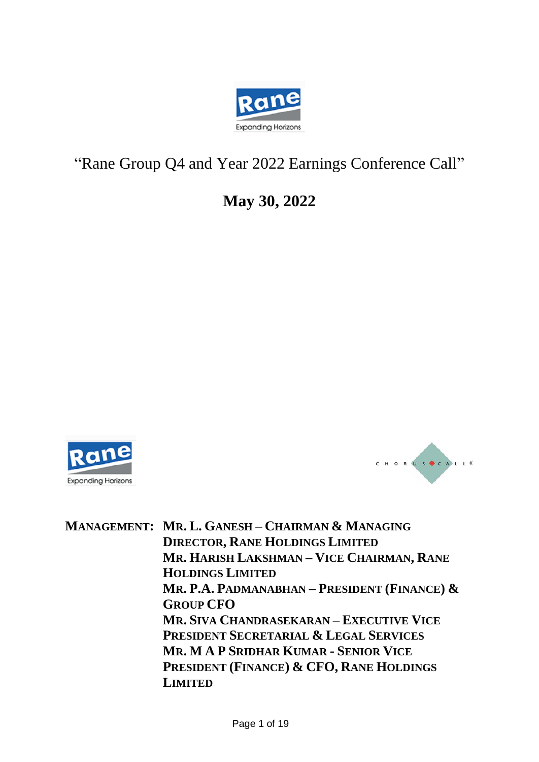

# "Rane Group Q4 and Year 2022 Earnings Conference Call"

**May 30, 2022**





**MANAGEMENT: MR. L. GANESH – CHAIRMAN & MANAGING DIRECTOR, RANE HOLDINGS LIMITED MR. HARISH LAKSHMAN – VICE CHAIRMAN, RANE HOLDINGS LIMITED MR. P.A. PADMANABHAN – PRESIDENT (FINANCE) & GROUP CFO MR. SIVA CHANDRASEKARAN – EXECUTIVE VICE PRESIDENT SECRETARIAL & LEGAL SERVICES MR. M A P SRIDHAR KUMAR - SENIOR VICE PRESIDENT (FINANCE) & CFO, RANE HOLDINGS LIMITED**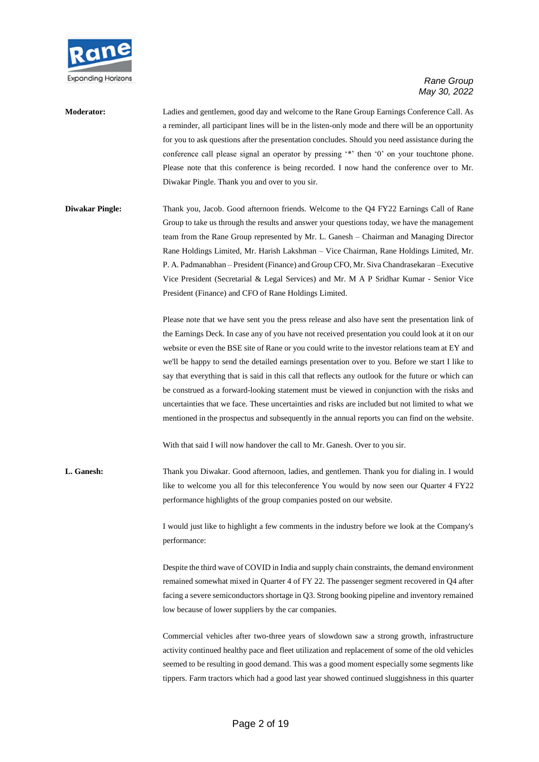

## **Moderator:** Ladies and gentlemen, good day and welcome to the Rane Group Earnings Conference Call. As a reminder, all participant lines will be in the listen-only mode and there will be an opportunity for you to ask questions after the presentation concludes. Should you need assistance during the conference call please signal an operator by pressing '\*' then '0' on your touchtone phone. Please note that this conference is being recorded. I now hand the conference over to Mr. Diwakar Pingle. Thank you and over to you sir.

**Diwakar Pingle:** Thank you, Jacob. Good afternoon friends. Welcome to the Q4 FY22 Earnings Call of Rane Group to take us through the results and answer your questions today, we have the management team from the Rane Group represented by Mr. L. Ganesh – Chairman and Managing Director Rane Holdings Limited, Mr. Harish Lakshman – Vice Chairman, Rane Holdings Limited, Mr. P. A. Padmanabhan – President (Finance) and Group CFO, Mr. Siva Chandrasekaran –Executive Vice President (Secretarial & Legal Services) and Mr. M A P Sridhar Kumar - Senior Vice President (Finance) and CFO of Rane Holdings Limited.

> Please note that we have sent you the press release and also have sent the presentation link of the Earnings Deck. In case any of you have not received presentation you could look at it on our website or even the BSE site of Rane or you could write to the investor relations team at EY and we'll be happy to send the detailed earnings presentation over to you. Before we start I like to say that everything that is said in this call that reflects any outlook for the future or which can be construed as a forward-looking statement must be viewed in conjunction with the risks and uncertainties that we face. These uncertainties and risks are included but not limited to what we mentioned in the prospectus and subsequently in the annual reports you can find on the website.

With that said I will now handover the call to Mr. Ganesh. Over to you sir.

**L. Ganesh:** Thank you Diwakar. Good afternoon, ladies, and gentlemen. Thank you for dialing in. I would like to welcome you all for this teleconference You would by now seen our Quarter 4 FY22 performance highlights of the group companies posted on our website.

> I would just like to highlight a few comments in the industry before we look at the Company's performance:

> Despite the third wave of COVID in India and supply chain constraints, the demand environment remained somewhat mixed in Quarter 4 of FY 22. The passenger segment recovered in Q4 after facing a severe semiconductors shortage in Q3. Strong booking pipeline and inventory remained low because of lower suppliers by the car companies.

> Commercial vehicles after two-three years of slowdown saw a strong growth, infrastructure activity continued healthy pace and fleet utilization and replacement of some of the old vehicles seemed to be resulting in good demand. This was a good moment especially some segments like tippers. Farm tractors which had a good last year showed continued sluggishness in this quarter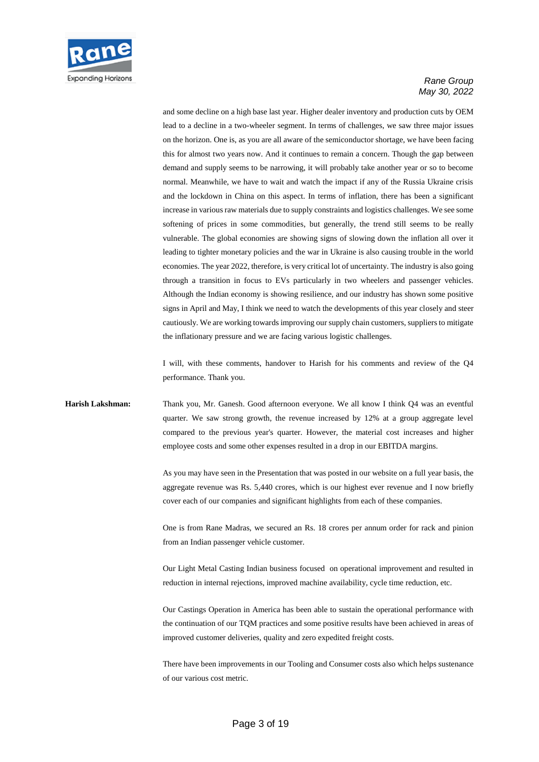

and some decline on a high base last year. Higher dealer inventory and production cuts by OEM lead to a decline in a two-wheeler segment. In terms of challenges, we saw three major issues on the horizon. One is, as you are all aware of the semiconductor shortage, we have been facing this for almost two years now. And it continues to remain a concern. Though the gap between demand and supply seems to be narrowing, it will probably take another year or so to become normal. Meanwhile, we have to wait and watch the impact if any of the Russia Ukraine crisis and the lockdown in China on this aspect. In terms of inflation, there has been a significant increase in various raw materials due to supply constraints and logistics challenges. We see some softening of prices in some commodities, but generally, the trend still seems to be really vulnerable. The global economies are showing signs of slowing down the inflation all over it leading to tighter monetary policies and the war in Ukraine is also causing trouble in the world economies. The year 2022, therefore, is very critical lot of uncertainty. The industry is also going through a transition in focus to EVs particularly in two wheelers and passenger vehicles. Although the Indian economy is showing resilience, and our industry has shown some positive signs in April and May, I think we need to watch the developments of this year closely and steer cautiously. We are working towards improving our supply chain customers, suppliers to mitigate the inflationary pressure and we are facing various logistic challenges.

I will, with these comments, handover to Harish for his comments and review of the Q4 performance. Thank you.

### **Harish Lakshman:** Thank you, Mr. Ganesh. Good afternoon everyone. We all know I think Q4 was an eventful quarter. We saw strong growth, the revenue increased by 12% at a group aggregate level compared to the previous year's quarter. However, the material cost increases and higher employee costs and some other expenses resulted in a drop in our EBITDA margins.

As you may have seen in the Presentation that was posted in our website on a full year basis, the aggregate revenue was Rs. 5,440 crores, which is our highest ever revenue and I now briefly cover each of our companies and significant highlights from each of these companies.

One is from Rane Madras, we secured an Rs. 18 crores per annum order for rack and pinion from an Indian passenger vehicle customer.

Our Light Metal Casting Indian business focused on operational improvement and resulted in reduction in internal rejections, improved machine availability, cycle time reduction, etc.

Our Castings Operation in America has been able to sustain the operational performance with the continuation of our TQM practices and some positive results have been achieved in areas of improved customer deliveries, quality and zero expedited freight costs.

There have been improvements in our Tooling and Consumer costs also which helps sustenance of our various cost metric.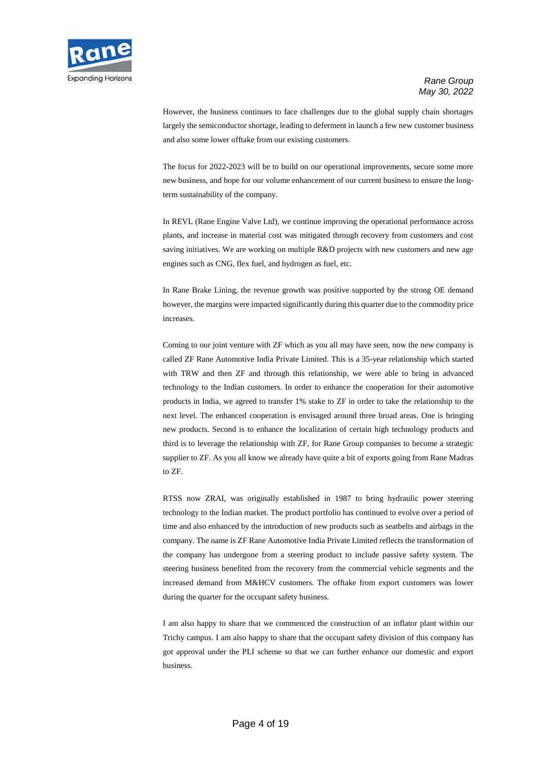

However, the business continues to face challenges due to the global supply chain shortages largely the semiconductor shortage, leading to deferment in launch a few new customer business and also some lower offtake from our existing customers.

The focus for 2022-2023 will be to build on our operational improvements, secure some more new business, and hope for our volume enhancement of our current business to ensure the longterm sustainability of the company.

In REVL (Rane Engine Valve Ltd), we continue improving the operational performance across plants, and increase in material cost was mitigated through recovery from customers and cost saving initiatives. We are working on multiple R&D projects with new customers and new age engines such as CNG, flex fuel, and hydrogen as fuel, etc.

In Rane Brake Lining, the revenue growth was positive supported by the strong OE demand however, the margins were impacted significantly during this quarter due to the commodity price increases.

Coming to our joint venture with ZF which as you all may have seen, now the new company is called ZF Rane Automotive India Private Limited. This is a 35-year relationship which started with TRW and then ZF and through this relationship, we were able to bring in advanced technology to the Indian customers. In order to enhance the cooperation for their automotive products in India, we agreed to transfer 1% stake to ZF in order to take the relationship to the next level. The enhanced cooperation is envisaged around three broad areas. One is bringing new products. Second is to enhance the localization of certain high technology products and third is to leverage the relationship with ZF, for Rane Group companies to become a strategic supplier to ZF. As you all know we already have quite a bit of exports going from Rane Madras to ZF.

RTSS now ZRAI, was originally established in 1987 to bring hydraulic power steering technology to the Indian market. The product portfolio has continued to evolve over a period of time and also enhanced by the introduction of new products such as seatbelts and airbags in the company. The name is ZF Rane Automotive India Private Limited reflects the transformation of the company has undergone from a steering product to include passive safety system. The steering business benefited from the recovery from the commercial vehicle segments and the increased demand from M&HCV customers. The offtake from export customers was lower during the quarter for the occupant safety business.

I am also happy to share that we commenced the construction of an inflator plant within our Trichy campus. I am also happy to share that the occupant safety division of this company has got approval under the PLI scheme so that we can further enhance our domestic and export business.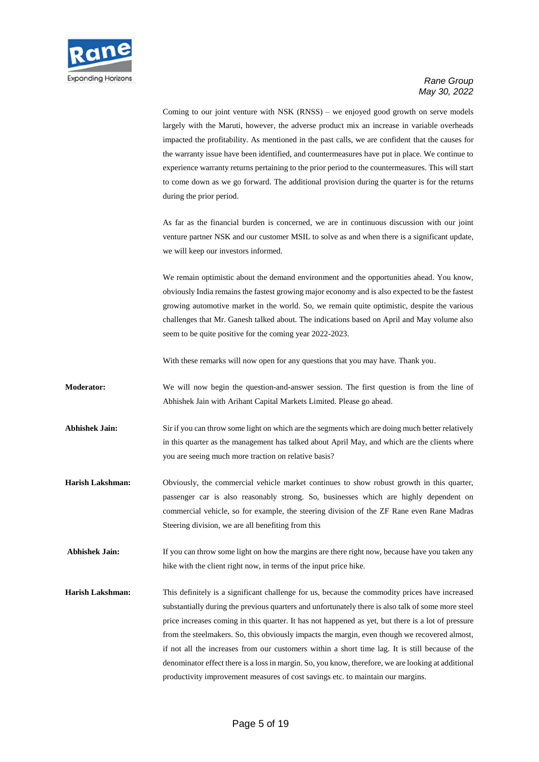

Coming to our joint venture with NSK (RNSS) – we enjoyed good growth on serve models largely with the Maruti, however, the adverse product mix an increase in variable overheads impacted the profitability. As mentioned in the past calls, we are confident that the causes for the warranty issue have been identified, and countermeasures have put in place. We continue to experience warranty returns pertaining to the prior period to the countermeasures. This will start to come down as we go forward. The additional provision during the quarter is for the returns during the prior period.

As far as the financial burden is concerned, we are in continuous discussion with our joint venture partner NSK and our customer MSIL to solve as and when there is a significant update, we will keep our investors informed.

We remain optimistic about the demand environment and the opportunities ahead. You know, obviously India remains the fastest growing major economy and is also expected to be the fastest growing automotive market in the world. So, we remain quite optimistic, despite the various challenges that Mr. Ganesh talked about. The indications based on April and May volume also seem to be quite positive for the coming year 2022-2023.

With these remarks will now open for any questions that you may have. Thank you.

**Moderator:** We will now begin the question-and-answer session. The first question is from the line of Abhishek Jain with Arihant Capital Markets Limited. Please go ahead.

**Abhishek Jain:** Sir if you can throw some light on which are the segments which are doing much better relatively in this quarter as the management has talked about April May, and which are the clients where you are seeing much more traction on relative basis?

**Harish Lakshman:** Obviously, the commercial vehicle market continues to show robust growth in this quarter, passenger car is also reasonably strong. So, businesses which are highly dependent on commercial vehicle, so for example, the steering division of the ZF Rane even Rane Madras Steering division, we are all benefiting from this

**Abhishek Jain:** If you can throw some light on how the margins are there right now, because have you taken any hike with the client right now, in terms of the input price hike.

**Harish Lakshman:** This definitely is a significant challenge for us, because the commodity prices have increased substantially during the previous quarters and unfortunately there is also talk of some more steel price increases coming in this quarter. It has not happened as yet, but there is a lot of pressure from the steelmakers. So, this obviously impacts the margin, even though we recovered almost, if not all the increases from our customers within a short time lag. It is still because of the denominator effect there is a loss in margin. So, you know, therefore, we are looking at additional productivity improvement measures of cost savings etc. to maintain our margins.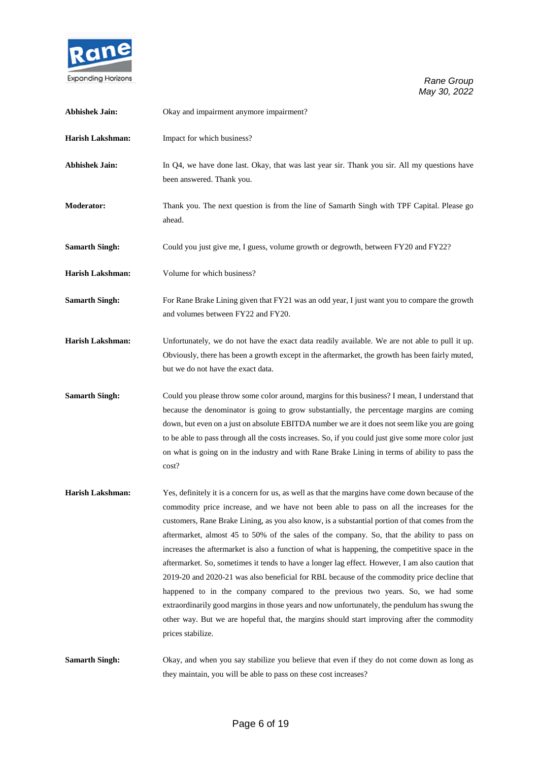

| <b>Abhishek Jain:</b>   | Okay and impairment anymore impairment?                                                                                                                                                                                                                                                                                                                                                                                                                                                                                                                                                                                                                                                                                                                                                                                                                                                                                                                                                                    |
|-------------------------|------------------------------------------------------------------------------------------------------------------------------------------------------------------------------------------------------------------------------------------------------------------------------------------------------------------------------------------------------------------------------------------------------------------------------------------------------------------------------------------------------------------------------------------------------------------------------------------------------------------------------------------------------------------------------------------------------------------------------------------------------------------------------------------------------------------------------------------------------------------------------------------------------------------------------------------------------------------------------------------------------------|
| <b>Harish Lakshman:</b> | Impact for which business?                                                                                                                                                                                                                                                                                                                                                                                                                                                                                                                                                                                                                                                                                                                                                                                                                                                                                                                                                                                 |
| <b>Abhishek Jain:</b>   | In Q4, we have done last. Okay, that was last year sir. Thank you sir. All my questions have<br>been answered. Thank you.                                                                                                                                                                                                                                                                                                                                                                                                                                                                                                                                                                                                                                                                                                                                                                                                                                                                                  |
| Moderator:              | Thank you. The next question is from the line of Samarth Singh with TPF Capital. Please go<br>ahead.                                                                                                                                                                                                                                                                                                                                                                                                                                                                                                                                                                                                                                                                                                                                                                                                                                                                                                       |
| <b>Samarth Singh:</b>   | Could you just give me, I guess, volume growth or degrowth, between FY20 and FY22?                                                                                                                                                                                                                                                                                                                                                                                                                                                                                                                                                                                                                                                                                                                                                                                                                                                                                                                         |
| <b>Harish Lakshman:</b> | Volume for which business?                                                                                                                                                                                                                                                                                                                                                                                                                                                                                                                                                                                                                                                                                                                                                                                                                                                                                                                                                                                 |
| <b>Samarth Singh:</b>   | For Rane Brake Lining given that FY21 was an odd year, I just want you to compare the growth<br>and volumes between FY22 and FY20.                                                                                                                                                                                                                                                                                                                                                                                                                                                                                                                                                                                                                                                                                                                                                                                                                                                                         |
| <b>Harish Lakshman:</b> | Unfortunately, we do not have the exact data readily available. We are not able to pull it up.<br>Obviously, there has been a growth except in the aftermarket, the growth has been fairly muted,<br>but we do not have the exact data.                                                                                                                                                                                                                                                                                                                                                                                                                                                                                                                                                                                                                                                                                                                                                                    |
| <b>Samarth Singh:</b>   | Could you please throw some color around, margins for this business? I mean, I understand that<br>because the denominator is going to grow substantially, the percentage margins are coming<br>down, but even on a just on absolute EBITDA number we are it does not seem like you are going<br>to be able to pass through all the costs increases. So, if you could just give some more color just<br>on what is going on in the industry and with Rane Brake Lining in terms of ability to pass the<br>cost?                                                                                                                                                                                                                                                                                                                                                                                                                                                                                             |
| <b>Harish Lakshman:</b> | Yes, definitely it is a concern for us, as well as that the margins have come down because of the<br>commodity price increase, and we have not been able to pass on all the increases for the<br>customers, Rane Brake Lining, as you also know, is a substantial portion of that comes from the<br>aftermarket, almost 45 to 50% of the sales of the company. So, that the ability to pass on<br>increases the aftermarket is also a function of what is happening, the competitive space in the<br>aftermarket. So, sometimes it tends to have a longer lag effect. However, I am also caution that<br>2019-20 and 2020-21 was also beneficial for RBL because of the commodity price decline that<br>happened to in the company compared to the previous two years. So, we had some<br>extraordinarily good margins in those years and now unfortunately, the pendulum has swung the<br>other way. But we are hopeful that, the margins should start improving after the commodity<br>prices stabilize. |
| <b>Samarth Singh:</b>   | Okay, and when you say stabilize you believe that even if they do not come down as long as<br>they maintain, you will be able to pass on these cost increases?                                                                                                                                                                                                                                                                                                                                                                                                                                                                                                                                                                                                                                                                                                                                                                                                                                             |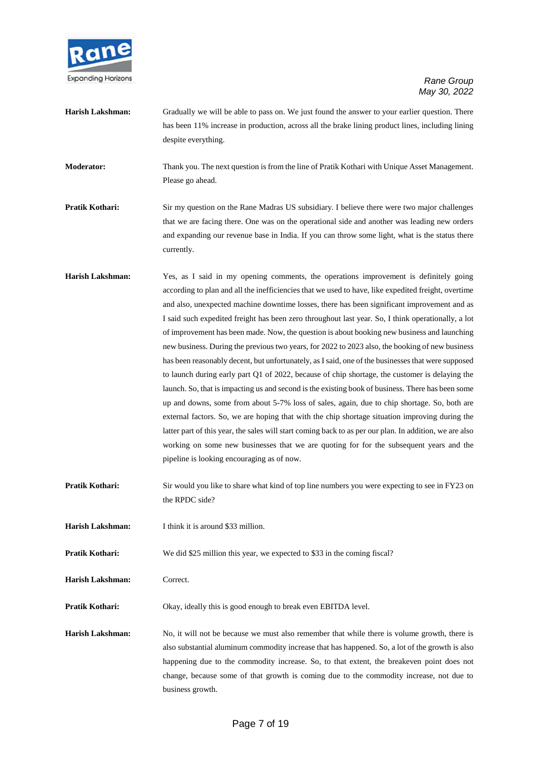

| Harish Lakshman: | Gradually we will be able to pass on. We just found the answer to your earlier question. There   |
|------------------|--------------------------------------------------------------------------------------------------|
|                  | has been 11% increase in production, across all the brake lining product lines, including lining |
|                  | despite everything.                                                                              |

**Moderator:** Thank you. The next question is from the line of Pratik Kothari with Unique Asset Management. Please go ahead.

**Pratik Kothari:** Sir my question on the Rane Madras US subsidiary. I believe there were two major challenges that we are facing there. One was on the operational side and another was leading new orders and expanding our revenue base in India. If you can throw some light, what is the status there currently.

- **Harish Lakshman:** Yes, as I said in my opening comments, the operations improvement is definitely going according to plan and all the inefficiencies that we used to have, like expedited freight, overtime and also, unexpected machine downtime losses, there has been significant improvement and as I said such expedited freight has been zero throughout last year. So, I think operationally, a lot of improvement has been made. Now, the question is about booking new business and launching new business. During the previous two years, for 2022 to 2023 also, the booking of new business has been reasonably decent, but unfortunately, as I said, one of the businesses that were supposed to launch during early part Q1 of 2022, because of chip shortage, the customer is delaying the launch. So, that is impacting us and second is the existing book of business. There has been some up and downs, some from about 5-7% loss of sales, again, due to chip shortage. So, both are external factors. So, we are hoping that with the chip shortage situation improving during the latter part of this year, the sales will start coming back to as per our plan. In addition, we are also working on some new businesses that we are quoting for for the subsequent years and the pipeline is looking encouraging as of now.
- **Pratik Kothari:** Sir would you like to share what kind of top line numbers you were expecting to see in FY23 on the RPDC side?
- **Harish Lakshman:** I think it is around \$33 million.
- **Pratik Kothari:** We did \$25 million this year, we expected to \$33 in the coming fiscal?
- **Harish Lakshman:** Correct.
- **Pratik Kothari:** Okay, ideally this is good enough to break even EBITDA level.
- **Harish Lakshman:** No, it will not be because we must also remember that while there is volume growth, there is also substantial aluminum commodity increase that has happened. So, a lot of the growth is also happening due to the commodity increase. So, to that extent, the breakeven point does not change, because some of that growth is coming due to the commodity increase, not due to business growth.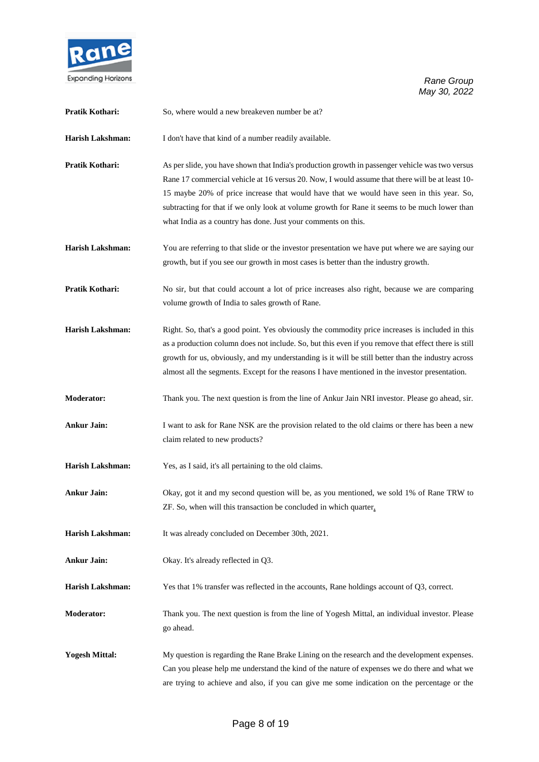

| Pratik Kothari:         | So, where would a new breakeven number be at?                                                                                                                                                                                                                                                                                                                                                                                                                    |
|-------------------------|------------------------------------------------------------------------------------------------------------------------------------------------------------------------------------------------------------------------------------------------------------------------------------------------------------------------------------------------------------------------------------------------------------------------------------------------------------------|
| Harish Lakshman:        | I don't have that kind of a number readily available.                                                                                                                                                                                                                                                                                                                                                                                                            |
| Pratik Kothari:         | As per slide, you have shown that India's production growth in passenger vehicle was two versus<br>Rane 17 commercial vehicle at 16 versus 20. Now, I would assume that there will be at least 10-<br>15 maybe 20% of price increase that would have that we would have seen in this year. So,<br>subtracting for that if we only look at volume growth for Rane it seems to be much lower than<br>what India as a country has done. Just your comments on this. |
| Harish Lakshman:        | You are referring to that slide or the investor presentation we have put where we are saying our<br>growth, but if you see our growth in most cases is better than the industry growth.                                                                                                                                                                                                                                                                          |
| Pratik Kothari:         | No sir, but that could account a lot of price increases also right, because we are comparing<br>volume growth of India to sales growth of Rane.                                                                                                                                                                                                                                                                                                                  |
| Harish Lakshman:        | Right. So, that's a good point. Yes obviously the commodity price increases is included in this<br>as a production column does not include. So, but this even if you remove that effect there is still<br>growth for us, obviously, and my understanding is it will be still better than the industry across<br>almost all the segments. Except for the reasons I have mentioned in the investor presentation.                                                   |
| <b>Moderator:</b>       | Thank you. The next question is from the line of Ankur Jain NRI investor. Please go ahead, sir.                                                                                                                                                                                                                                                                                                                                                                  |
| <b>Ankur Jain:</b>      | I want to ask for Rane NSK are the provision related to the old claims or there has been a new<br>claim related to new products?                                                                                                                                                                                                                                                                                                                                 |
| <b>Harish Lakshman:</b> | Yes, as I said, it's all pertaining to the old claims.                                                                                                                                                                                                                                                                                                                                                                                                           |
| <b>Ankur Jain:</b>      | Okay, got it and my second question will be, as you mentioned, we sold 1% of Rane TRW to<br>ZF. So, when will this transaction be concluded in which quarter.                                                                                                                                                                                                                                                                                                    |
| Harish Lakshman:        | It was already concluded on December 30th, 2021.                                                                                                                                                                                                                                                                                                                                                                                                                 |
| <b>Ankur Jain:</b>      | Okay. It's already reflected in Q3.                                                                                                                                                                                                                                                                                                                                                                                                                              |
| <b>Harish Lakshman:</b> | Yes that 1% transfer was reflected in the accounts, Rane holdings account of Q3, correct.                                                                                                                                                                                                                                                                                                                                                                        |
| Moderator:              | Thank you. The next question is from the line of Yogesh Mittal, an individual investor. Please<br>go ahead.                                                                                                                                                                                                                                                                                                                                                      |
| <b>Yogesh Mittal:</b>   | My question is regarding the Rane Brake Lining on the research and the development expenses.<br>Can you please help me understand the kind of the nature of expenses we do there and what we<br>are trying to achieve and also, if you can give me some indication on the percentage or the                                                                                                                                                                      |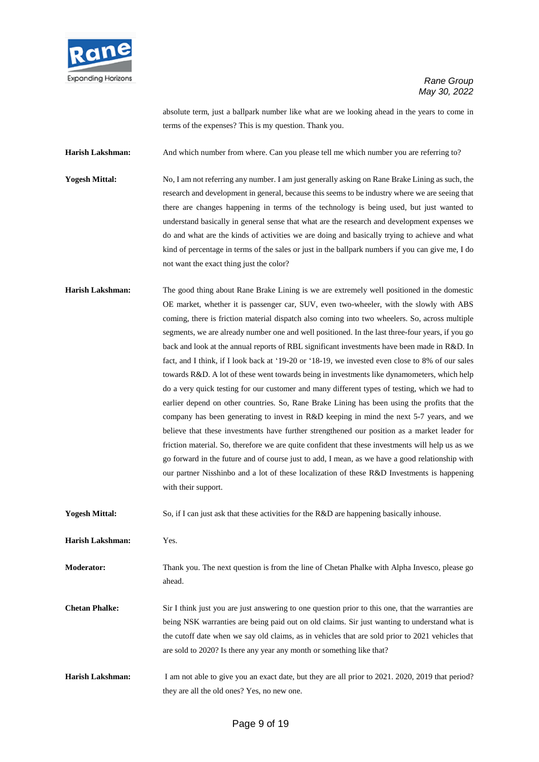

absolute term, just a ballpark number like what are we looking ahead in the years to come in terms of the expenses? This is my question. Thank you.

Harish Lakshman: And which number from where. Can you please tell me which number you are referring to?

**Yogesh Mittal:** No, I am not referring any number. I am just generally asking on Rane Brake Lining as such, the research and development in general, because this seems to be industry where we are seeing that there are changes happening in terms of the technology is being used, but just wanted to understand basically in general sense that what are the research and development expenses we do and what are the kinds of activities we are doing and basically trying to achieve and what kind of percentage in terms of the sales or just in the ballpark numbers if you can give me, I do not want the exact thing just the color?

**Harish Lakshman:** The good thing about Rane Brake Lining is we are extremely well positioned in the domestic OE market, whether it is passenger car, SUV, even two-wheeler, with the slowly with ABS coming, there is friction material dispatch also coming into two wheelers. So, across multiple segments, we are already number one and well positioned. In the last three-four years, if you go back and look at the annual reports of RBL significant investments have been made in R&D. In fact, and I think, if I look back at '19-20 or '18-19, we invested even close to 8% of our sales towards R&D. A lot of these went towards being in investments like dynamometers, which help do a very quick testing for our customer and many different types of testing, which we had to earlier depend on other countries. So, Rane Brake Lining has been using the profits that the company has been generating to invest in R&D keeping in mind the next 5-7 years, and we believe that these investments have further strengthened our position as a market leader for friction material. So, therefore we are quite confident that these investments will help us as we go forward in the future and of course just to add, I mean, as we have a good relationship with our partner Nisshinbo and a lot of these localization of these R&D Investments is happening with their support.

**Yogesh Mittal:** So, if I can just ask that these activities for the R&D are happening basically inhouse.

**Harish Lakshman:** Yes.

**Moderator:** Thank you. The next question is from the line of Chetan Phalke with Alpha Invesco, please go ahead.

**Chetan Phalke:** Sir I think just you are just answering to one question prior to this one, that the warranties are being NSK warranties are being paid out on old claims. Sir just wanting to understand what is the cutoff date when we say old claims, as in vehicles that are sold prior to 2021 vehicles that are sold to 2020? Is there any year any month or something like that?

Harish Lakshman: I am not able to give you an exact date, but they are all prior to 2021. 2020, 2019 that period? they are all the old ones? Yes, no new one.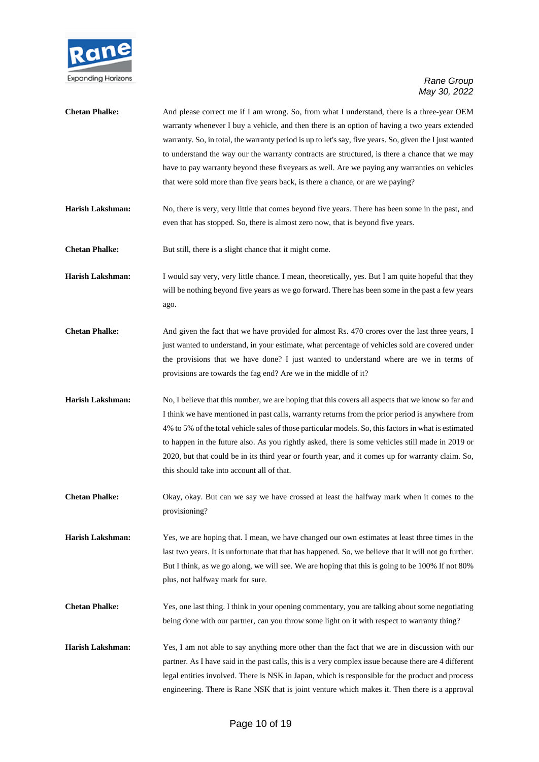

| <b>Chetan Phalke:</b>   | And please correct me if I am wrong. So, from what I understand, there is a three-year OEM<br>warranty whenever I buy a vehicle, and then there is an option of having a two years extended<br>warranty. So, in total, the warranty period is up to let's say, five years. So, given the I just wanted<br>to understand the way our the warranty contracts are structured, is there a chance that we may<br>have to pay warranty beyond these fiveyears as well. Are we paying any warranties on vehicles<br>that were sold more than five years back, is there a chance, or are we paying? |
|-------------------------|---------------------------------------------------------------------------------------------------------------------------------------------------------------------------------------------------------------------------------------------------------------------------------------------------------------------------------------------------------------------------------------------------------------------------------------------------------------------------------------------------------------------------------------------------------------------------------------------|
| <b>Harish Lakshman:</b> | No, there is very, very little that comes beyond five years. There has been some in the past, and<br>even that has stopped. So, there is almost zero now, that is beyond five years.                                                                                                                                                                                                                                                                                                                                                                                                        |
| <b>Chetan Phalke:</b>   | But still, there is a slight chance that it might come.                                                                                                                                                                                                                                                                                                                                                                                                                                                                                                                                     |
| <b>Harish Lakshman:</b> | I would say very, very little chance. I mean, theoretically, yes. But I am quite hopeful that they<br>will be nothing beyond five years as we go forward. There has been some in the past a few years<br>ago.                                                                                                                                                                                                                                                                                                                                                                               |
| <b>Chetan Phalke:</b>   | And given the fact that we have provided for almost Rs. 470 crores over the last three years, I<br>just wanted to understand, in your estimate, what percentage of vehicles sold are covered under<br>the provisions that we have done? I just wanted to understand where are we in terms of<br>provisions are towards the fag end? Are we in the middle of it?                                                                                                                                                                                                                             |
| <b>Harish Lakshman:</b> | No, I believe that this number, we are hoping that this covers all aspects that we know so far and<br>I think we have mentioned in past calls, warranty returns from the prior period is anywhere from<br>4% to 5% of the total vehicle sales of those particular models. So, this factors in what is estimated<br>to happen in the future also. As you rightly asked, there is some vehicles still made in 2019 or<br>2020, but that could be in its third year or fourth year, and it comes up for warranty claim. So,<br>this should take into account all of that.                      |
| <b>Chetan Phalke:</b>   | Okay, okay. But can we say we have crossed at least the halfway mark when it comes to the<br>provisioning?                                                                                                                                                                                                                                                                                                                                                                                                                                                                                  |
| Harish Lakshman:        | Yes, we are hoping that. I mean, we have changed our own estimates at least three times in the<br>last two years. It is unfortunate that that has happened. So, we believe that it will not go further.<br>But I think, as we go along, we will see. We are hoping that this is going to be 100% If not 80%<br>plus, not halfway mark for sure.                                                                                                                                                                                                                                             |
| <b>Chetan Phalke:</b>   | Yes, one last thing. I think in your opening commentary, you are talking about some negotiating<br>being done with our partner, can you throw some light on it with respect to warranty thing?                                                                                                                                                                                                                                                                                                                                                                                              |
| Harish Lakshman:        | Yes, I am not able to say anything more other than the fact that we are in discussion with our<br>partner. As I have said in the past calls, this is a very complex issue because there are 4 different<br>legal entities involved. There is NSK in Japan, which is responsible for the product and process<br>engineering. There is Rane NSK that is joint venture which makes it. Then there is a approval                                                                                                                                                                                |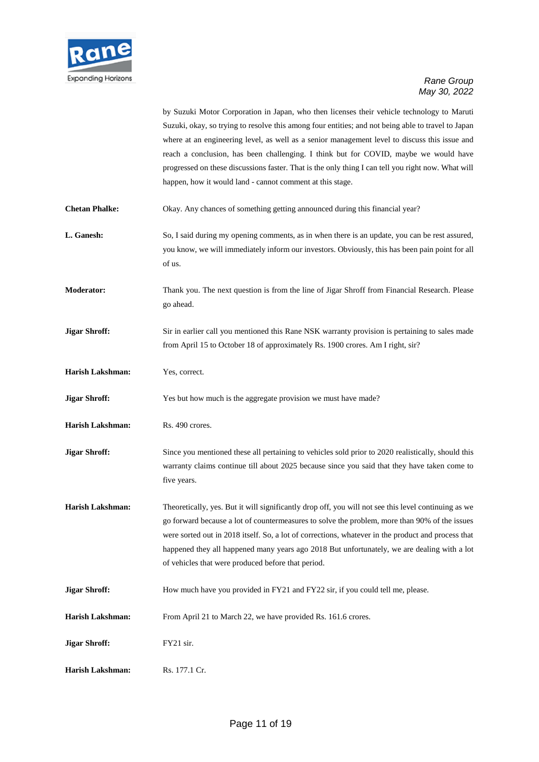

by Suzuki Motor Corporation in Japan, who then licenses their vehicle technology to Maruti Suzuki, okay, so trying to resolve this among four entities; and not being able to travel to Japan where at an engineering level, as well as a senior management level to discuss this issue and reach a conclusion, has been challenging. I think but for COVID, maybe we would have progressed on these discussions faster. That is the only thing I can tell you right now. What will happen, how it would land - cannot comment at this stage.

- **Chetan Phalke:** Okay. Any chances of something getting announced during this financial year?
- **L. Ganesh:** So, I said during my opening comments, as in when there is an update, you can be rest assured, you know, we will immediately inform our investors. Obviously, this has been pain point for all of us.
- **Moderator:** Thank you. The next question is from the line of Jigar Shroff from Financial Research. Please go ahead.
- **Jigar Shroff:** Sir in earlier call you mentioned this Rane NSK warranty provision is pertaining to sales made from April 15 to October 18 of approximately Rs. 1900 crores. Am I right, sir?
- **Harish Lakshman:** Yes, correct.
- **Jigar Shroff:** Yes but how much is the aggregate provision we must have made?
- **Harish Lakshman:** Rs. 490 crores.
- **Jigar Shroff:** Since you mentioned these all pertaining to vehicles sold prior to 2020 realistically, should this warranty claims continue till about 2025 because since you said that they have taken come to five years.
- Harish Lakshman: Theoretically, yes. But it will significantly drop off, you will not see this level continuing as we go forward because a lot of countermeasures to solve the problem, more than 90% of the issues were sorted out in 2018 itself. So, a lot of corrections, whatever in the product and process that happened they all happened many years ago 2018 But unfortunately, we are dealing with a lot of vehicles that were produced before that period.
- **Jigar Shroff:** How much have you provided in FY21 and FY22 sir, if you could tell me, please.
- **Harish Lakshman:** From April 21 to March 22, we have provided Rs. 161.6 crores.
- **Jigar Shroff:** FY21 sir.
- **Harish Lakshman:** Rs. 177.1 Cr.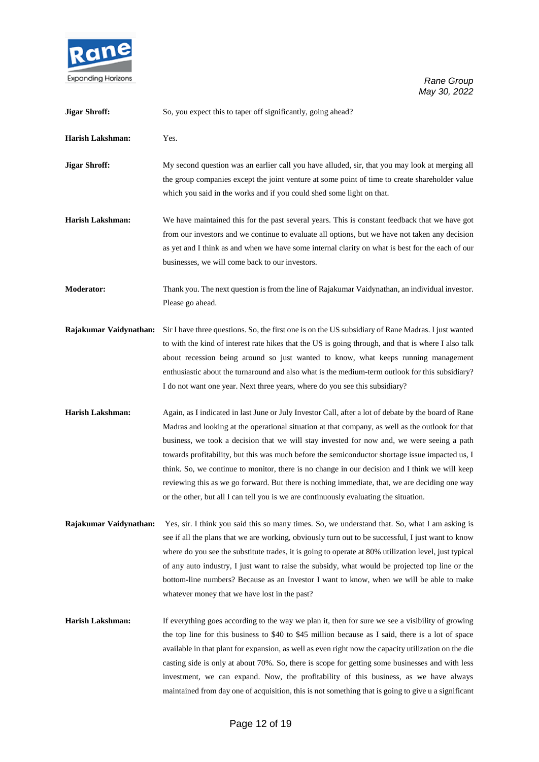

| <b>Jigar Shroff:</b>    | So, you expect this to taper off significantly, going ahead?                                                                                                                                                                                                                                                                                                                                                                                                                                                                                                                                                                                                                                           |
|-------------------------|--------------------------------------------------------------------------------------------------------------------------------------------------------------------------------------------------------------------------------------------------------------------------------------------------------------------------------------------------------------------------------------------------------------------------------------------------------------------------------------------------------------------------------------------------------------------------------------------------------------------------------------------------------------------------------------------------------|
| <b>Harish Lakshman:</b> | Yes.                                                                                                                                                                                                                                                                                                                                                                                                                                                                                                                                                                                                                                                                                                   |
| <b>Jigar Shroff:</b>    | My second question was an earlier call you have alluded, sir, that you may look at merging all<br>the group companies except the joint venture at some point of time to create shareholder value<br>which you said in the works and if you could shed some light on that.                                                                                                                                                                                                                                                                                                                                                                                                                              |
| <b>Harish Lakshman:</b> | We have maintained this for the past several years. This is constant feedback that we have got<br>from our investors and we continue to evaluate all options, but we have not taken any decision<br>as yet and I think as and when we have some internal clarity on what is best for the each of our<br>businesses, we will come back to our investors.                                                                                                                                                                                                                                                                                                                                                |
| Moderator:              | Thank you. The next question is from the line of Rajakumar Vaidynathan, an individual investor.<br>Please go ahead.                                                                                                                                                                                                                                                                                                                                                                                                                                                                                                                                                                                    |
| Rajakumar Vaidynathan:  | Sir I have three questions. So, the first one is on the US subsidiary of Rane Madras. I just wanted<br>to with the kind of interest rate hikes that the US is going through, and that is where I also talk<br>about recession being around so just wanted to know, what keeps running management<br>enthusiastic about the turnaround and also what is the medium-term outlook for this subsidiary?<br>I do not want one year. Next three years, where do you see this subsidiary?                                                                                                                                                                                                                     |
| <b>Harish Lakshman:</b> | Again, as I indicated in last June or July Investor Call, after a lot of debate by the board of Rane<br>Madras and looking at the operational situation at that company, as well as the outlook for that<br>business, we took a decision that we will stay invested for now and, we were seeing a path<br>towards profitability, but this was much before the semiconductor shortage issue impacted us, I<br>think. So, we continue to monitor, there is no change in our decision and I think we will keep<br>reviewing this as we go forward. But there is nothing immediate, that, we are deciding one way<br>or the other, but all I can tell you is we are continuously evaluating the situation. |
| Rajakumar Vaidynathan:  | Yes, sir. I think you said this so many times. So, we understand that. So, what I am asking is<br>see if all the plans that we are working, obviously turn out to be successful, I just want to know<br>where do you see the substitute trades, it is going to operate at 80% utilization level, just typical<br>of any auto industry, I just want to raise the subsidy, what would be projected top line or the<br>bottom-line numbers? Because as an Investor I want to know, when we will be able to make<br>whatever money that we have lost in the past?                                                                                                                                          |
| <b>Harish Lakshman:</b> | If everything goes according to the way we plan it, then for sure we see a visibility of growing<br>the top line for this business to \$40 to \$45 million because as I said, there is a lot of space<br>available in that plant for expansion, as well as even right now the capacity utilization on the die<br>casting side is only at about 70%. So, there is scope for getting some businesses and with less<br>investment, we can expand. Now, the profitability of this business, as we have always<br>maintained from day one of acquisition, this is not something that is going to give u a significant                                                                                       |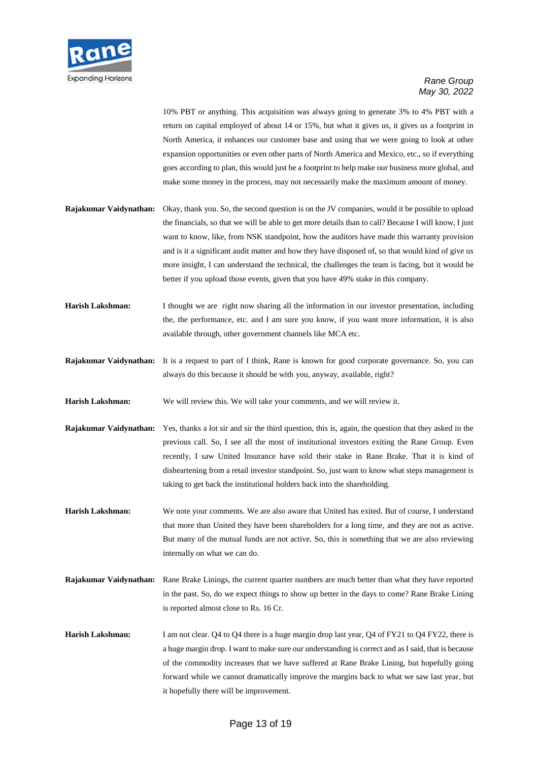

10% PBT or anything. This acquisition was always going to generate 3% to 4% PBT with a return on capital employed of about 14 or 15%, but what it gives us, it gives us a footprint in North America, it enhances our customer base and using that we were going to look at other expansion opportunities or even other parts of North America and Mexico, etc., so if everything goes according to plan, this would just be a footprint to help make our business more global, and make some money in the process, may not necessarily make the maximum amount of money.

- **Rajakumar Vaidynathan:** Okay, thank you. So, the second question is on the JV companies, would it be possible to upload the financials, so that we will be able to get more details than to call? Because I will know, I just want to know, like, from NSK standpoint, how the auditors have made this warranty provision and is it a significant audit matter and how they have disposed of, so that would kind of give us more insight, I can understand the technical, the challenges the team is facing, but it would be better if you upload those events, given that you have 49% stake in this company.
- **Harish Lakshman:** I thought we are right now sharing all the information in our investor presentation, including the, the performance, etc. and I am sure you know, if you want more information, it is also available through, other government channels like MCA etc.
- **Rajakumar Vaidynathan:** It is a request to part of I think, Rane is known for good corporate governance. So, you can always do this because it should be with you, anyway, available, right?
- **Harish Lakshman:** We will review this. We will take your comments, and we will review it.
- **Rajakumar Vaidynathan:** Yes, thanks a lot sir and sir the third question, this is, again, the question that they asked in the previous call. So, I see all the most of institutional investors exiting the Rane Group. Even recently, I saw United Insurance have sold their stake in Rane Brake. That it is kind of disheartening from a retail investor standpoint. So, just want to know what steps management is taking to get back the institutional holders back into the shareholding.
- **Harish Lakshman:** We note your comments. We are also aware that United has exited. But of course, I understand that more than United they have been shareholders for a long time, and they are not as active. But many of the mutual funds are not active. So, this is something that we are also reviewing internally on what we can do.
- **Rajakumar Vaidynathan:** Rane Brake Linings, the current quarter numbers are much better than what they have reported in the past. So, do we expect things to show up better in the days to come? Rane Brake Lining is reported almost close to Rs. 16 Cr.
- **Harish Lakshman:** I am not clear. Q4 to Q4 there is a huge margin drop last year, Q4 of FY21 to Q4 FY22, there is a huge margin drop. I want to make sure our understanding is correct and as I said, that is because of the commodity increases that we have suffered at Rane Brake Lining, but hopefully going forward while we cannot dramatically improve the margins back to what we saw last year, but it hopefully there will be improvement.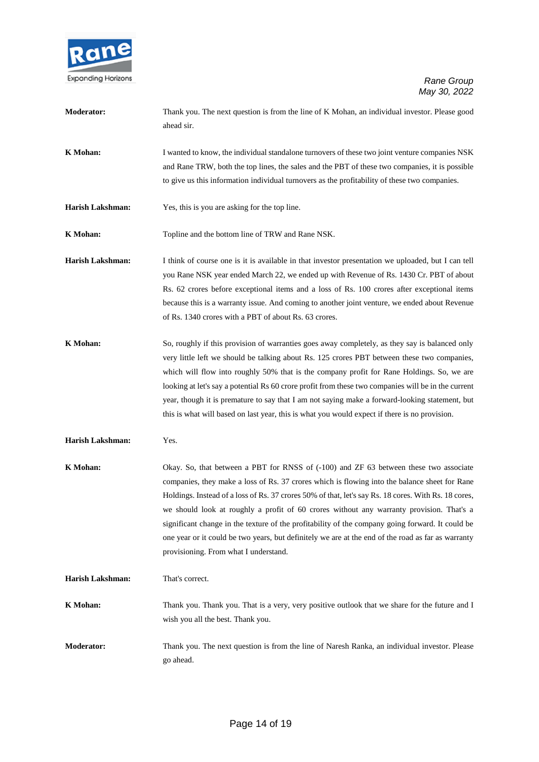

| <b>Moderator:</b>       | Thank you. The next question is from the line of K Mohan, an individual investor. Please good<br>ahead sir.                                                                                                                                                                                                                                                                                                                                                                                                                                                                                                                                   |
|-------------------------|-----------------------------------------------------------------------------------------------------------------------------------------------------------------------------------------------------------------------------------------------------------------------------------------------------------------------------------------------------------------------------------------------------------------------------------------------------------------------------------------------------------------------------------------------------------------------------------------------------------------------------------------------|
| K Mohan:                | I wanted to know, the individual standalone turnovers of these two joint venture companies NSK<br>and Rane TRW, both the top lines, the sales and the PBT of these two companies, it is possible<br>to give us this information individual turnovers as the profitability of these two companies.                                                                                                                                                                                                                                                                                                                                             |
| <b>Harish Lakshman:</b> | Yes, this is you are asking for the top line.                                                                                                                                                                                                                                                                                                                                                                                                                                                                                                                                                                                                 |
| K Mohan:                | Topline and the bottom line of TRW and Rane NSK.                                                                                                                                                                                                                                                                                                                                                                                                                                                                                                                                                                                              |
| <b>Harish Lakshman:</b> | I think of course one is it is available in that investor presentation we uploaded, but I can tell<br>you Rane NSK year ended March 22, we ended up with Revenue of Rs. 1430 Cr. PBT of about<br>Rs. 62 crores before exceptional items and a loss of Rs. 100 crores after exceptional items<br>because this is a warranty issue. And coming to another joint venture, we ended about Revenue<br>of Rs. 1340 crores with a PBT of about Rs. 63 crores.                                                                                                                                                                                        |
| K Mohan:                | So, roughly if this provision of warranties goes away completely, as they say is balanced only<br>very little left we should be talking about Rs. 125 crores PBT between these two companies,<br>which will flow into roughly 50% that is the company profit for Rane Holdings. So, we are<br>looking at let's say a potential Rs 60 crore profit from these two companies will be in the current<br>year, though it is premature to say that I am not saying make a forward-looking statement, but<br>this is what will based on last year, this is what you would expect if there is no provision.                                          |
| Harish Lakshman:        | Yes.                                                                                                                                                                                                                                                                                                                                                                                                                                                                                                                                                                                                                                          |
| <b>K</b> Mohan:         | Okay. So, that between a PBT for RNSS of (-100) and ZF 63 between these two associate<br>companies, they make a loss of Rs. 37 crores which is flowing into the balance sheet for Rane<br>Holdings. Instead of a loss of Rs. 37 crores 50% of that, let's say Rs. 18 cores. With Rs. 18 cores,<br>we should look at roughly a profit of 60 crores without any warranty provision. That's a<br>significant change in the texture of the profitability of the company going forward. It could be<br>one year or it could be two years, but definitely we are at the end of the road as far as warranty<br>provisioning. From what I understand. |
| <b>Harish Lakshman:</b> | That's correct.                                                                                                                                                                                                                                                                                                                                                                                                                                                                                                                                                                                                                               |
| <b>K</b> Mohan:         | Thank you. Thank you. That is a very, very positive outlook that we share for the future and I<br>wish you all the best. Thank you.                                                                                                                                                                                                                                                                                                                                                                                                                                                                                                           |
| <b>Moderator:</b>       | Thank you. The next question is from the line of Naresh Ranka, an individual investor. Please<br>go ahead.                                                                                                                                                                                                                                                                                                                                                                                                                                                                                                                                    |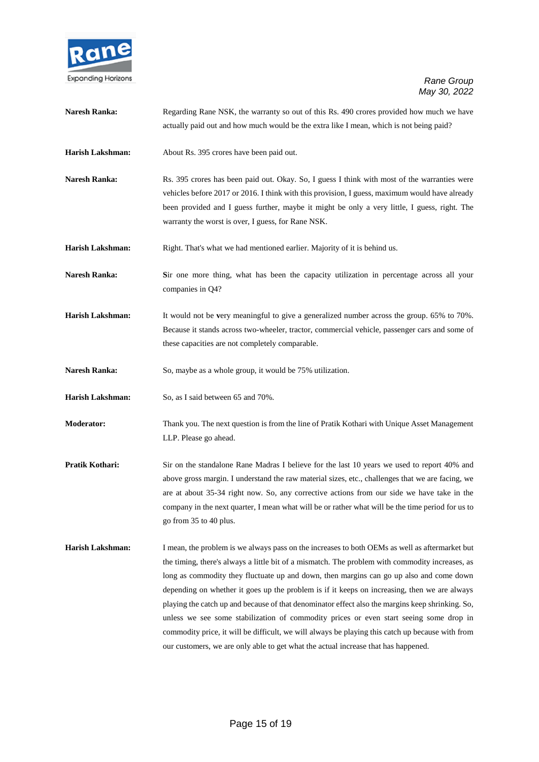

| <b>Naresh Ranka:</b>    | Regarding Rane NSK, the warranty so out of this Rs. 490 crores provided how much we have<br>actually paid out and how much would be the extra like I mean, which is not being paid?                                                                                                                                                                                                                                                                                                                                                                                                                                                                                                                                                                                                  |
|-------------------------|--------------------------------------------------------------------------------------------------------------------------------------------------------------------------------------------------------------------------------------------------------------------------------------------------------------------------------------------------------------------------------------------------------------------------------------------------------------------------------------------------------------------------------------------------------------------------------------------------------------------------------------------------------------------------------------------------------------------------------------------------------------------------------------|
| Harish Lakshman:        | About Rs. 395 crores have been paid out.                                                                                                                                                                                                                                                                                                                                                                                                                                                                                                                                                                                                                                                                                                                                             |
| <b>Naresh Ranka:</b>    | Rs. 395 crores has been paid out. Okay. So, I guess I think with most of the warranties were<br>vehicles before 2017 or 2016. I think with this provision, I guess, maximum would have already<br>been provided and I guess further, maybe it might be only a very little, I guess, right. The<br>warranty the worst is over, I guess, for Rane NSK.                                                                                                                                                                                                                                                                                                                                                                                                                                 |
| Harish Lakshman:        | Right. That's what we had mentioned earlier. Majority of it is behind us.                                                                                                                                                                                                                                                                                                                                                                                                                                                                                                                                                                                                                                                                                                            |
| <b>Naresh Ranka:</b>    | Sir one more thing, what has been the capacity utilization in percentage across all your<br>companies in Q4?                                                                                                                                                                                                                                                                                                                                                                                                                                                                                                                                                                                                                                                                         |
| <b>Harish Lakshman:</b> | It would not be very meaningful to give a generalized number across the group. 65% to 70%.<br>Because it stands across two-wheeler, tractor, commercial vehicle, passenger cars and some of<br>these capacities are not completely comparable.                                                                                                                                                                                                                                                                                                                                                                                                                                                                                                                                       |
| <b>Naresh Ranka:</b>    | So, maybe as a whole group, it would be 75% utilization.                                                                                                                                                                                                                                                                                                                                                                                                                                                                                                                                                                                                                                                                                                                             |
| Harish Lakshman:        | So, as I said between 65 and 70%.                                                                                                                                                                                                                                                                                                                                                                                                                                                                                                                                                                                                                                                                                                                                                    |
| <b>Moderator:</b>       | Thank you. The next question is from the line of Pratik Kothari with Unique Asset Management<br>LLP. Please go ahead.                                                                                                                                                                                                                                                                                                                                                                                                                                                                                                                                                                                                                                                                |
| Pratik Kothari:         | Sir on the standalone Rane Madras I believe for the last 10 years we used to report 40% and<br>above gross margin. I understand the raw material sizes, etc., challenges that we are facing, we<br>are at about 35-34 right now. So, any corrective actions from our side we have take in the<br>company in the next quarter, I mean what will be or rather what will be the time period for us to<br>go from 35 to 40 plus.                                                                                                                                                                                                                                                                                                                                                         |
| <b>Harish Lakshman:</b> | I mean, the problem is we always pass on the increases to both OEMs as well as aftermarket but<br>the timing, there's always a little bit of a mismatch. The problem with commodity increases, as<br>long as commodity they fluctuate up and down, then margins can go up also and come down<br>depending on whether it goes up the problem is if it keeps on increasing, then we are always<br>playing the catch up and because of that denominator effect also the margins keep shrinking. So,<br>unless we see some stabilization of commodity prices or even start seeing some drop in<br>commodity price, it will be difficult, we will always be playing this catch up because with from<br>our customers, we are only able to get what the actual increase that has happened. |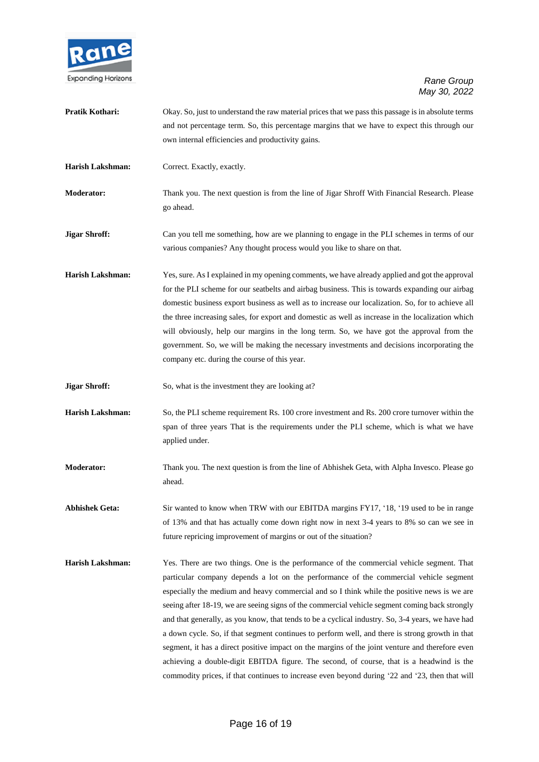

**Pratik Kothari:** Okay. So, just to understand the raw material prices that we pass this passage is in absolute terms and not percentage term. So, this percentage margins that we have to expect this through our own internal efficiencies and productivity gains. **Harish Lakshman:** Correct. Exactly, exactly. **Moderator:** Thank you. The next question is from the line of Jigar Shroff With Financial Research. Please go ahead. **Jigar Shroff:** Can you tell me something, how are we planning to engage in the PLI schemes in terms of our various companies? Any thought process would you like to share on that. **Harish Lakshman:** Yes, sure. As I explained in my opening comments, we have already applied and got the approval for the PLI scheme for our seatbelts and airbag business. This is towards expanding our airbag domestic business export business as well as to increase our localization. So, for to achieve all the three increasing sales, for export and domestic as well as increase in the localization which will obviously, help our margins in the long term. So, we have got the approval from the government. So, we will be making the necessary investments and decisions incorporating the company etc. during the course of this year. **Jigar Shroff:** So, what is the investment they are looking at? **Harish Lakshman:** So, the PLI scheme requirement Rs. 100 crore investment and Rs. 200 crore turnover within the span of three years That is the requirements under the PLI scheme, which is what we have applied under. **Moderator:** Thank you. The next question is from the line of Abhishek Geta, with Alpha Invesco. Please go ahead. **Abhishek Geta:** Sir wanted to know when TRW with our EBITDA margins FY17, '18, '19 used to be in range of 13% and that has actually come down right now in next 3-4 years to 8% so can we see in future repricing improvement of margins or out of the situation? **Harish Lakshman:** Yes. There are two things. One is the performance of the commercial vehicle segment. That particular company depends a lot on the performance of the commercial vehicle segment especially the medium and heavy commercial and so I think while the positive news is we are seeing after 18-19, we are seeing signs of the commercial vehicle segment coming back strongly and that generally, as you know, that tends to be a cyclical industry. So, 3-4 years, we have had a down cycle. So, if that segment continues to perform well, and there is strong growth in that segment, it has a direct positive impact on the margins of the joint venture and therefore even achieving a double-digit EBITDA figure. The second, of course, that is a headwind is the commodity prices, if that continues to increase even beyond during '22 and '23, then that will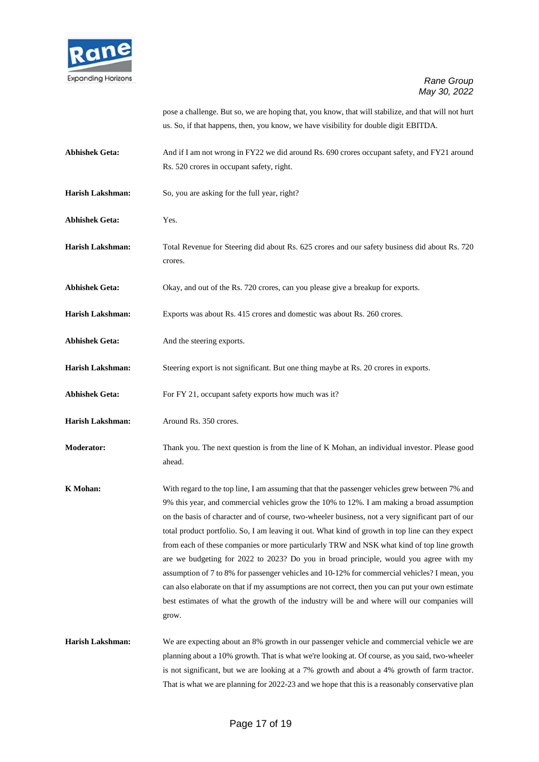

pose a challenge. But so, we are hoping that, you know, that will stabilize, and that will not hurt us. So, if that happens, then, you know, we have visibility for double digit EBITDA.

- **Abhishek Geta:** And if I am not wrong in FY22 we did around Rs. 690 crores occupant safety, and FY21 around Rs. 520 crores in occupant safety, right.
- Harish Lakshman: So, you are asking for the full year, right?
- **Abhishek Geta:** Yes.
- **Harish Lakshman:** Total Revenue for Steering did about Rs. 625 crores and our safety business did about Rs. 720 crores.
- **Abhishek Geta:** Okay, and out of the Rs. 720 crores, can you please give a breakup for exports.
- **Harish Lakshman:** Exports was about Rs. 415 crores and domestic was about Rs. 260 crores.
- Abhishek Geta: And the steering exports.
- **Harish Lakshman:** Steering export is not significant. But one thing maybe at Rs. 20 crores in exports.
- Abhishek Geta: For FY 21, occupant safety exports how much was it?
- **Harish Lakshman:** Around Rs. 350 crores.
- **Moderator:** Thank you. The next question is from the line of K Mohan, an individual investor. Please good ahead.
- **K Mohan:** With regard to the top line, I am assuming that that the passenger vehicles grew between 7% and 9% this year, and commercial vehicles grow the 10% to 12%. I am making a broad assumption on the basis of character and of course, two-wheeler business, not a very significant part of our total product portfolio. So, I am leaving it out. What kind of growth in top line can they expect from each of these companies or more particularly TRW and NSK what kind of top line growth are we budgeting for 2022 to 2023? Do you in broad principle, would you agree with my assumption of 7 to 8% for passenger vehicles and 10-12% for commercial vehicles? I mean, you can also elaborate on that if my assumptions are not correct, then you can put your own estimate best estimates of what the growth of the industry will be and where will our companies will grow.
- **Harish Lakshman:** We are expecting about an 8% growth in our passenger vehicle and commercial vehicle we are planning about a 10% growth. That is what we're looking at. Of course, as you said, two-wheeler is not significant, but we are looking at a 7% growth and about a 4% growth of farm tractor. That is what we are planning for 2022-23 and we hope that this is a reasonably conservative plan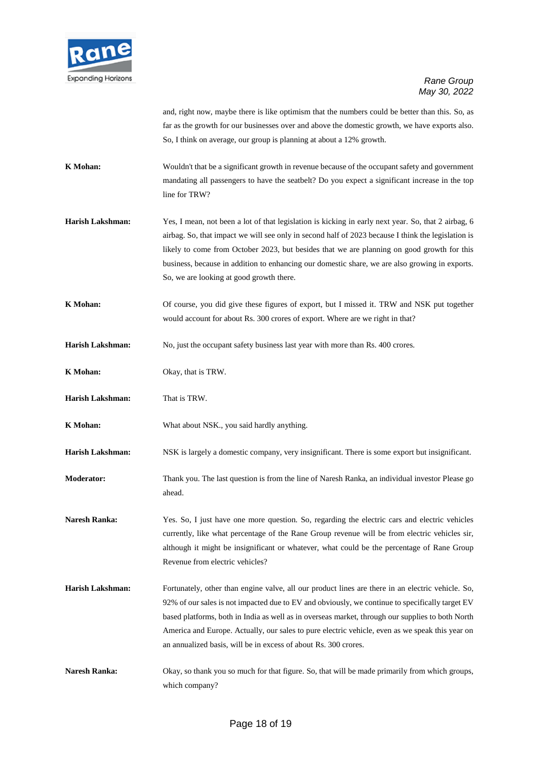

and, right now, maybe there is like optimism that the numbers could be better than this. So, as far as the growth for our businesses over and above the domestic growth, we have exports also. So, I think on average, our group is planning at about a 12% growth.

- **K Mohan:** Wouldn't that be a significant growth in revenue because of the occupant safety and government mandating all passengers to have the seatbelt? Do you expect a significant increase in the top line for TRW?
- **Harish Lakshman:** Yes, I mean, not been a lot of that legislation is kicking in early next year. So, that 2 airbag, 6 airbag. So, that impact we will see only in second half of 2023 because I think the legislation is likely to come from October 2023, but besides that we are planning on good growth for this business, because in addition to enhancing our domestic share, we are also growing in exports. So, we are looking at good growth there.
- **K Mohan:** Of course, you did give these figures of export, but I missed it. TRW and NSK put together would account for about Rs. 300 crores of export. Where are we right in that?
- **Harish Lakshman:** No, just the occupant safety business last year with more than Rs. 400 crores.
- **K Mohan:** Okay, that is TRW.
- **Harish Lakshman:** That is TRW.
- **K Mohan:** What about NSK., you said hardly anything.

**Harish Lakshman:** NSK is largely a domestic company, very insignificant. There is some export but insignificant.

- **Moderator:** Thank you. The last question is from the line of Naresh Ranka, an individual investor Please go ahead.
- Naresh Ranka: Yes. So, I just have one more question. So, regarding the electric cars and electric vehicles currently, like what percentage of the Rane Group revenue will be from electric vehicles sir, although it might be insignificant or whatever, what could be the percentage of Rane Group Revenue from electric vehicles?
- **Harish Lakshman:** Fortunately, other than engine valve, all our product lines are there in an electric vehicle. So, 92% of our sales is not impacted due to EV and obviously, we continue to specifically target EV based platforms, both in India as well as in overseas market, through our supplies to both North America and Europe. Actually, our sales to pure electric vehicle, even as we speak this year on an annualized basis, will be in excess of about Rs. 300 crores.
- **Naresh Ranka:** Okay, so thank you so much for that figure. So, that will be made primarily from which groups, which company?